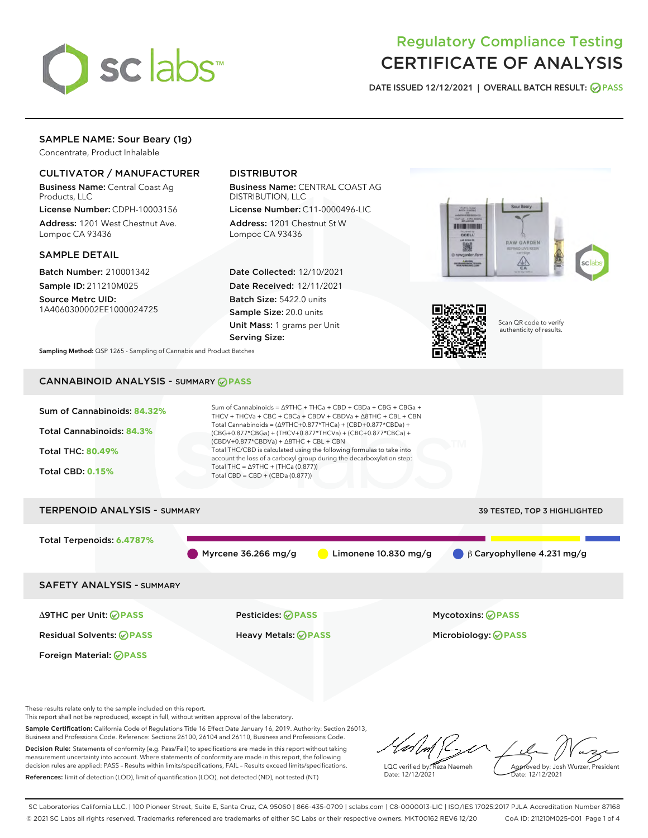

# Regulatory Compliance Testing CERTIFICATE OF ANALYSIS

DATE ISSUED 12/12/2021 | OVERALL BATCH RESULT: @ PASS

# SAMPLE NAME: Sour Beary (1g)

Concentrate, Product Inhalable

# CULTIVATOR / MANUFACTURER

Business Name: Central Coast Ag Products, LLC

License Number: CDPH-10003156 Address: 1201 West Chestnut Ave. Lompoc CA 93436

## SAMPLE DETAIL

Batch Number: 210001342 Sample ID: 211210M025

Source Metrc UID: 1A4060300002EE1000024725

# DISTRIBUTOR

Business Name: CENTRAL COAST AG DISTRIBUTION, LLC

License Number: C11-0000496-LIC Address: 1201 Chestnut St W Lompoc CA 93436

Date Collected: 12/10/2021 Date Received: 12/11/2021 Batch Size: 5422.0 units Sample Size: 20.0 units Unit Mass: 1 grams per Unit Serving Size:





Scan QR code to verify authenticity of results.

Sampling Method: QSP 1265 - Sampling of Cannabis and Product Batches

# CANNABINOID ANALYSIS - SUMMARY **PASS**



This report shall not be reproduced, except in full, without written approval of the laboratory.

Sample Certification: California Code of Regulations Title 16 Effect Date January 16, 2019. Authority: Section 26013, Business and Professions Code. Reference: Sections 26100, 26104 and 26110, Business and Professions Code. Decision Rule: Statements of conformity (e.g. Pass/Fail) to specifications are made in this report without taking measurement uncertainty into account. Where statements of conformity are made in this report, the following

decision rules are applied: PASS – Results within limits/specifications, FAIL – Results exceed limits/specifications. References: limit of detection (LOD), limit of quantification (LOQ), not detected (ND), not tested (NT)

LQC verified by: Reza Naemeh Date: 12/12/2021 Approved by: Josh Wurzer, President Date: 12/12/2021

SC Laboratories California LLC. | 100 Pioneer Street, Suite E, Santa Cruz, CA 95060 | 866-435-0709 | sclabs.com | C8-0000013-LIC | ISO/IES 17025:2017 PJLA Accreditation Number 87168 © 2021 SC Labs all rights reserved. Trademarks referenced are trademarks of either SC Labs or their respective owners. MKT00162 REV6 12/20 CoA ID: 211210M025-001 Page 1 of 4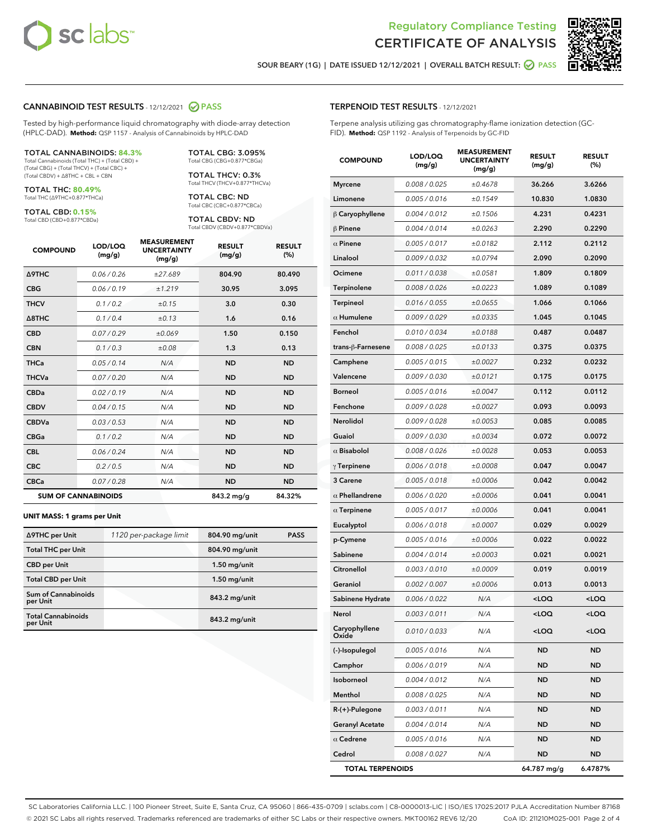



SOUR BEARY (1G) | DATE ISSUED 12/12/2021 | OVERALL BATCH RESULT: @ PASS

### CANNABINOID TEST RESULTS - 12/12/2021 2 PASS

Tested by high-performance liquid chromatography with diode-array detection (HPLC-DAD). **Method:** QSP 1157 - Analysis of Cannabinoids by HPLC-DAD

#### TOTAL CANNABINOIDS: **84.3%**

Total Cannabinoids (Total THC) + (Total CBD) + (Total CBG) + (Total THCV) + (Total CBC) + (Total CBDV) + ∆8THC + CBL + CBN

TOTAL THC: **80.49%** Total THC (∆9THC+0.877\*THCa)

TOTAL CBD: **0.15%**

Total CBD (CBD+0.877\*CBDa)

TOTAL CBG: 3.095% Total CBG (CBG+0.877\*CBGa)

TOTAL THCV: 0.3% Total THCV (THCV+0.877\*THCVa)

TOTAL CBC: ND Total CBC (CBC+0.877\*CBCa)

TOTAL CBDV: ND Total CBDV (CBDV+0.877\*CBDVa)

| <b>COMPOUND</b>            | LOD/LOQ<br>(mg/g) | <b>MEASUREMENT</b><br><b>UNCERTAINTY</b><br>(mg/g) | <b>RESULT</b><br>(mg/g) | <b>RESULT</b><br>(%) |
|----------------------------|-------------------|----------------------------------------------------|-------------------------|----------------------|
| <b>A9THC</b>               | 0.06/0.26         | ±27.689                                            | 804.90                  | 80.490               |
| <b>CBG</b>                 | 0.06/0.19         | ±1.219                                             | 30.95                   | 3.095                |
| <b>THCV</b>                | 0.1/0.2           | ±0.15                                              | 3.0                     | 0.30                 |
| $\triangle$ 8THC           | 0.1/0.4           | ±0.13                                              | 1.6                     | 0.16                 |
| <b>CBD</b>                 | 0.07/0.29         | ±0.069                                             | 1.50                    | 0.150                |
| <b>CBN</b>                 | 0.1/0.3           | ±0.08                                              | 1.3                     | 0.13                 |
| <b>THCa</b>                | 0.05/0.14         | N/A                                                | <b>ND</b>               | <b>ND</b>            |
| <b>THCVa</b>               | 0.07/0.20         | N/A                                                | <b>ND</b>               | <b>ND</b>            |
| <b>CBDa</b>                | 0.02/0.19         | N/A                                                | <b>ND</b>               | <b>ND</b>            |
| <b>CBDV</b>                | 0.04/0.15         | N/A                                                | <b>ND</b>               | <b>ND</b>            |
| <b>CBDVa</b>               | 0.03 / 0.53       | N/A                                                | <b>ND</b>               | <b>ND</b>            |
| <b>CBGa</b>                | 0.1/0.2           | N/A                                                | <b>ND</b>               | <b>ND</b>            |
| <b>CBL</b>                 | 0.06 / 0.24       | N/A                                                | <b>ND</b>               | <b>ND</b>            |
| <b>CBC</b>                 | 0.2 / 0.5         | N/A                                                | <b>ND</b>               | <b>ND</b>            |
| <b>CBCa</b>                | 0.07/0.28         | N/A                                                | <b>ND</b>               | <b>ND</b>            |
| <b>SUM OF CANNABINOIDS</b> |                   |                                                    | 843.2 mg/g              | 84.32%               |

#### **UNIT MASS: 1 grams per Unit**

| ∆9THC per Unit                        | 1120 per-package limit | 804.90 mg/unit | <b>PASS</b> |
|---------------------------------------|------------------------|----------------|-------------|
|                                       |                        |                |             |
| <b>Total THC per Unit</b>             |                        | 804.90 mg/unit |             |
| <b>CBD</b> per Unit                   |                        | $1.50$ mg/unit |             |
| <b>Total CBD per Unit</b>             |                        | $1.50$ mg/unit |             |
| Sum of Cannabinoids<br>per Unit       |                        | 843.2 mg/unit  |             |
| <b>Total Cannabinoids</b><br>per Unit |                        | 843.2 mg/unit  |             |

| <b>COMPOUND</b>         | LOD/LOQ<br>(mg/g) | <b>MEASUREMENT</b><br><b>UNCERTAINTY</b><br>(mg/g) | <b>RESULT</b><br>(mg/g)                         | <b>RESULT</b><br>(%) |
|-------------------------|-------------------|----------------------------------------------------|-------------------------------------------------|----------------------|
| <b>Myrcene</b>          | 0.008 / 0.025     | ±0.4678                                            | 36.266                                          | 3.6266               |
| Limonene                | 0.005 / 0.016     | ±0.1549                                            | 10.830                                          | 1.0830               |
| $\beta$ Caryophyllene   | 0.004 / 0.012     | ±0.1506                                            | 4.231                                           | 0.4231               |
| $\beta$ Pinene          | 0.004 / 0.014     | ±0.0263                                            | 2.290                                           | 0.2290               |
| $\alpha$ Pinene         | 0.005 / 0.017     | ±0.0182                                            | 2.112                                           | 0.2112               |
| Linalool                | 0.009 / 0.032     | ±0.0794                                            | 2.090                                           | 0.2090               |
| Ocimene                 | 0.011 / 0.038     | ±0.0581                                            | 1.809                                           | 0.1809               |
| Terpinolene             | 0.008 / 0.026     | ±0.0223                                            | 1.089                                           | 0.1089               |
| Terpineol               | 0.016 / 0.055     | ±0.0655                                            | 1.066                                           | 0.1066               |
| $\alpha$ Humulene       | 0.009 / 0.029     | ±0.0335                                            | 1.045                                           | 0.1045               |
| Fenchol                 | 0.010 / 0.034     | ±0.0188                                            | 0.487                                           | 0.0487               |
| trans-ß-Farnesene       | 0.008 / 0.025     | ±0.0133                                            | 0.375                                           | 0.0375               |
| Camphene                | 0.005 / 0.015     | ±0.0027                                            | 0.232                                           | 0.0232               |
| Valencene               | 0.009 / 0.030     | ±0.0121                                            | 0.175                                           | 0.0175               |
| <b>Borneol</b>          | 0.005 / 0.016     | ±0.0047                                            | 0.112                                           | 0.0112               |
| Fenchone                | 0.009 / 0.028     | ±0.0027                                            | 0.093                                           | 0.0093               |
| Nerolidol               | 0.009 / 0.028     | ±0.0053                                            | 0.085                                           | 0.0085               |
| Guaiol                  | 0.009 / 0.030     | ±0.0034                                            | 0.072                                           | 0.0072               |
| $\alpha$ Bisabolol      | 0.008 / 0.026     | ±0.0028                                            | 0.053                                           | 0.0053               |
| $\gamma$ Terpinene      | 0.006 / 0.018     | ±0.0008                                            | 0.047                                           | 0.0047               |
| 3 Carene                | 0.005 / 0.018     | ±0.0006                                            | 0.042                                           | 0.0042               |
| $\alpha$ Phellandrene   | 0.006 / 0.020     | ±0.0006                                            | 0.041                                           | 0.0041               |
| $\alpha$ Terpinene      | 0.005 / 0.017     | ±0.0006                                            | 0.041                                           | 0.0041               |
| Eucalyptol              | 0.006 / 0.018     | ±0.0007                                            | 0.029                                           | 0.0029               |
| p-Cymene                | 0.005 / 0.016     | ±0.0006                                            | 0.022                                           | 0.0022               |
| Sabinene                | 0.004 / 0.014     | ±0.0003                                            | 0.021                                           | 0.0021               |
| Citronellol             | 0.003 / 0.010     | ±0.0009                                            | 0.019                                           | 0.0019               |
| Geraniol                | 0.002 / 0.007     | ±0.0006                                            | 0.013                                           | 0.0013               |
| Sabinene Hydrate        | 0.006 / 0.022     | N/A                                                | <loq< th=""><th><loq< th=""></loq<></th></loq<> | <loq< th=""></loq<>  |
| Nerol                   | 0.003 / 0.011     | N/A                                                | <loq< th=""><th><loq< th=""></loq<></th></loq<> | <loq< th=""></loq<>  |
| Caryophyllene<br>Oxide  | 0.010 / 0.033     | N/A                                                | <loq< th=""><th><loq< th=""></loq<></th></loq<> | <loq< th=""></loq<>  |
| (-)-Isopulegol          | 0.005 / 0.016     | N/A                                                | ND                                              | ND                   |
| Camphor                 | 0.006 / 0.019     | N/A                                                | ND                                              | ND                   |
| Isoborneol              | 0.004 / 0.012     | N/A                                                | ND                                              | ND                   |
| Menthol                 | 0.008 / 0.025     | N/A                                                | ND                                              | ND                   |
| R-(+)-Pulegone          | 0.003 / 0.011     | N/A                                                | ND                                              | ND                   |
| <b>Geranyl Acetate</b>  | 0.004 / 0.014     | N/A                                                | ND                                              | ND                   |
| $\alpha$ Cedrene        | 0.005 / 0.016     | N/A                                                | ND                                              | ND                   |
| Cedrol                  | 0.008 / 0.027     | N/A                                                | ND                                              | ND                   |
| <b>TOTAL TERPENOIDS</b> |                   |                                                    | 64.787 mg/g                                     | 6.4787%              |

SC Laboratories California LLC. | 100 Pioneer Street, Suite E, Santa Cruz, CA 95060 | 866-435-0709 | sclabs.com | C8-0000013-LIC | ISO/IES 17025:2017 PJLA Accreditation Number 87168 © 2021 SC Labs all rights reserved. Trademarks referenced are trademarks of either SC Labs or their respective owners. MKT00162 REV6 12/20 CoA ID: 211210M025-001 Page 2 of 4

# TERPENOID TEST RESULTS - 12/12/2021

Terpene analysis utilizing gas chromatography-flame ionization detection (GC-FID). **Method:** QSP 1192 - Analysis of Terpenoids by GC-FID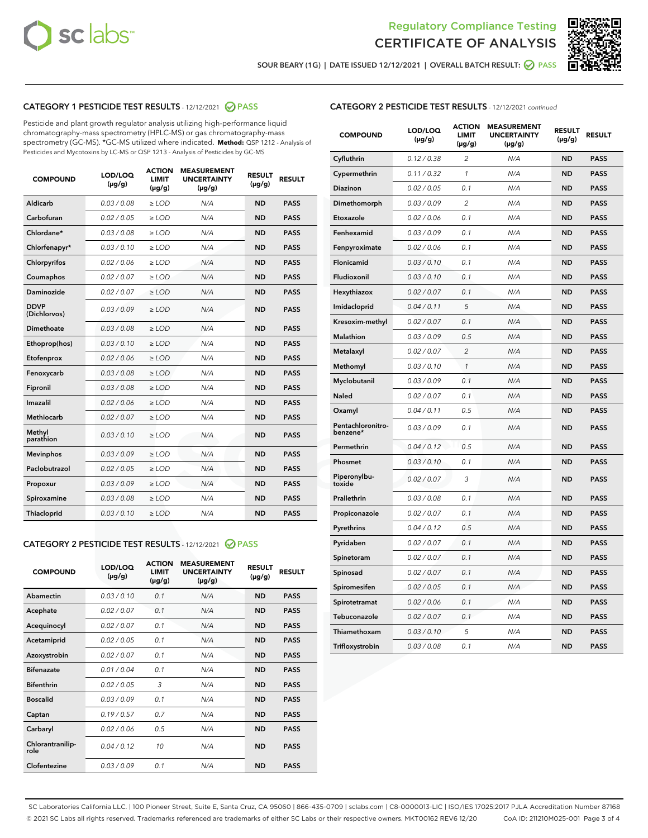



SOUR BEARY (1G) | DATE ISSUED 12/12/2021 | OVERALL BATCH RESULT: 2 PASS

# CATEGORY 1 PESTICIDE TEST RESULTS - 12/12/2021 2 PASS

Pesticide and plant growth regulator analysis utilizing high-performance liquid chromatography-mass spectrometry (HPLC-MS) or gas chromatography-mass spectrometry (GC-MS). \*GC-MS utilized where indicated. **Method:** QSP 1212 - Analysis of Pesticides and Mycotoxins by LC-MS or QSP 1213 - Analysis of Pesticides by GC-MS

| 0.03 / 0.08<br><b>ND</b><br><b>PASS</b><br>Aldicarb<br>$\ge$ LOD<br>N/A<br>Carbofuran<br>0.02 / 0.05<br>N/A<br>$\geq$ LOD<br><b>ND</b><br><b>PASS</b><br>Chlordane*<br>0.03 / 0.08<br>$\ge$ LOD<br>N/A<br><b>ND</b><br><b>PASS</b><br>Chlorfenapyr*<br>0.03/0.10<br>$\ge$ LOD<br>N/A<br><b>ND</b><br><b>PASS</b><br>0.02 / 0.06<br>N/A<br><b>ND</b><br><b>PASS</b><br>Chlorpyrifos<br>$\geq$ LOD<br>N/A<br>Coumaphos<br>0.02 / 0.07<br><b>ND</b><br><b>PASS</b><br>$\ge$ LOD<br>Daminozide<br>0.02 / 0.07<br>N/A<br><b>ND</b><br><b>PASS</b><br>$\ge$ LOD<br><b>DDVP</b><br>0.03/0.09<br>$>$ LOD<br>N/A<br><b>ND</b><br><b>PASS</b><br>(Dichlorvos)<br>Dimethoate<br>0.03/0.08<br>$\ge$ LOD<br>N/A<br><b>PASS</b><br><b>ND</b><br>0.03 / 0.10<br>N/A<br><b>ND</b><br><b>PASS</b><br>Ethoprop(hos)<br>$>$ LOD<br>0.02 / 0.06<br>N/A<br><b>ND</b><br><b>PASS</b><br>$\ge$ LOD<br>Etofenprox<br>Fenoxycarb<br>0.03/0.08<br>$\ge$ LOD<br>N/A<br><b>ND</b><br><b>PASS</b><br>0.03/0.08<br>$\ge$ LOD<br>N/A<br><b>ND</b><br><b>PASS</b><br>Fipronil<br>Imazalil<br>0.02 / 0.06<br>$>$ LOD<br>N/A<br><b>ND</b><br><b>PASS</b><br><b>Methiocarb</b><br>0.02 / 0.07<br>$\ge$ LOD<br>N/A<br><b>ND</b><br><b>PASS</b><br>Methyl<br>0.03/0.10<br>N/A<br><b>ND</b><br>$\ge$ LOD<br><b>PASS</b><br>parathion<br>0.03/0.09<br><b>Mevinphos</b><br>$\ge$ LOD<br>N/A<br><b>ND</b><br><b>PASS</b><br>Paclobutrazol<br>0.02 / 0.05<br>N/A<br>$>$ LOD<br><b>ND</b><br><b>PASS</b><br>0.03/0.09<br>N/A<br>$\ge$ LOD<br><b>ND</b><br><b>PASS</b><br>Propoxur<br>0.03 / 0.08<br><b>ND</b><br><b>PASS</b><br>Spiroxamine<br>$\ge$ LOD<br>N/A<br>Thiacloprid<br>0.03/0.10<br>N/A<br><b>ND</b><br><b>PASS</b><br>$\ge$ LOD | <b>COMPOUND</b> | LOD/LOQ<br>$(\mu g/g)$ | <b>ACTION</b><br><b>LIMIT</b><br>$(\mu g/g)$ | <b>MEASUREMENT</b><br><b>UNCERTAINTY</b><br>$(\mu g/g)$ | <b>RESULT</b><br>$(\mu g/g)$ | <b>RESULT</b> |
|--------------------------------------------------------------------------------------------------------------------------------------------------------------------------------------------------------------------------------------------------------------------------------------------------------------------------------------------------------------------------------------------------------------------------------------------------------------------------------------------------------------------------------------------------------------------------------------------------------------------------------------------------------------------------------------------------------------------------------------------------------------------------------------------------------------------------------------------------------------------------------------------------------------------------------------------------------------------------------------------------------------------------------------------------------------------------------------------------------------------------------------------------------------------------------------------------------------------------------------------------------------------------------------------------------------------------------------------------------------------------------------------------------------------------------------------------------------------------------------------------------------------------------------------------------------------------------------------------------------------------------------------------------------------------------------------------|-----------------|------------------------|----------------------------------------------|---------------------------------------------------------|------------------------------|---------------|
|                                                                                                                                                                                                                                                                                                                                                                                                                                                                                                                                                                                                                                                                                                                                                                                                                                                                                                                                                                                                                                                                                                                                                                                                                                                                                                                                                                                                                                                                                                                                                                                                                                                                                                  |                 |                        |                                              |                                                         |                              |               |
|                                                                                                                                                                                                                                                                                                                                                                                                                                                                                                                                                                                                                                                                                                                                                                                                                                                                                                                                                                                                                                                                                                                                                                                                                                                                                                                                                                                                                                                                                                                                                                                                                                                                                                  |                 |                        |                                              |                                                         |                              |               |
|                                                                                                                                                                                                                                                                                                                                                                                                                                                                                                                                                                                                                                                                                                                                                                                                                                                                                                                                                                                                                                                                                                                                                                                                                                                                                                                                                                                                                                                                                                                                                                                                                                                                                                  |                 |                        |                                              |                                                         |                              |               |
|                                                                                                                                                                                                                                                                                                                                                                                                                                                                                                                                                                                                                                                                                                                                                                                                                                                                                                                                                                                                                                                                                                                                                                                                                                                                                                                                                                                                                                                                                                                                                                                                                                                                                                  |                 |                        |                                              |                                                         |                              |               |
|                                                                                                                                                                                                                                                                                                                                                                                                                                                                                                                                                                                                                                                                                                                                                                                                                                                                                                                                                                                                                                                                                                                                                                                                                                                                                                                                                                                                                                                                                                                                                                                                                                                                                                  |                 |                        |                                              |                                                         |                              |               |
|                                                                                                                                                                                                                                                                                                                                                                                                                                                                                                                                                                                                                                                                                                                                                                                                                                                                                                                                                                                                                                                                                                                                                                                                                                                                                                                                                                                                                                                                                                                                                                                                                                                                                                  |                 |                        |                                              |                                                         |                              |               |
|                                                                                                                                                                                                                                                                                                                                                                                                                                                                                                                                                                                                                                                                                                                                                                                                                                                                                                                                                                                                                                                                                                                                                                                                                                                                                                                                                                                                                                                                                                                                                                                                                                                                                                  |                 |                        |                                              |                                                         |                              |               |
|                                                                                                                                                                                                                                                                                                                                                                                                                                                                                                                                                                                                                                                                                                                                                                                                                                                                                                                                                                                                                                                                                                                                                                                                                                                                                                                                                                                                                                                                                                                                                                                                                                                                                                  |                 |                        |                                              |                                                         |                              |               |
|                                                                                                                                                                                                                                                                                                                                                                                                                                                                                                                                                                                                                                                                                                                                                                                                                                                                                                                                                                                                                                                                                                                                                                                                                                                                                                                                                                                                                                                                                                                                                                                                                                                                                                  |                 |                        |                                              |                                                         |                              |               |
|                                                                                                                                                                                                                                                                                                                                                                                                                                                                                                                                                                                                                                                                                                                                                                                                                                                                                                                                                                                                                                                                                                                                                                                                                                                                                                                                                                                                                                                                                                                                                                                                                                                                                                  |                 |                        |                                              |                                                         |                              |               |
|                                                                                                                                                                                                                                                                                                                                                                                                                                                                                                                                                                                                                                                                                                                                                                                                                                                                                                                                                                                                                                                                                                                                                                                                                                                                                                                                                                                                                                                                                                                                                                                                                                                                                                  |                 |                        |                                              |                                                         |                              |               |
|                                                                                                                                                                                                                                                                                                                                                                                                                                                                                                                                                                                                                                                                                                                                                                                                                                                                                                                                                                                                                                                                                                                                                                                                                                                                                                                                                                                                                                                                                                                                                                                                                                                                                                  |                 |                        |                                              |                                                         |                              |               |
|                                                                                                                                                                                                                                                                                                                                                                                                                                                                                                                                                                                                                                                                                                                                                                                                                                                                                                                                                                                                                                                                                                                                                                                                                                                                                                                                                                                                                                                                                                                                                                                                                                                                                                  |                 |                        |                                              |                                                         |                              |               |
|                                                                                                                                                                                                                                                                                                                                                                                                                                                                                                                                                                                                                                                                                                                                                                                                                                                                                                                                                                                                                                                                                                                                                                                                                                                                                                                                                                                                                                                                                                                                                                                                                                                                                                  |                 |                        |                                              |                                                         |                              |               |
|                                                                                                                                                                                                                                                                                                                                                                                                                                                                                                                                                                                                                                                                                                                                                                                                                                                                                                                                                                                                                                                                                                                                                                                                                                                                                                                                                                                                                                                                                                                                                                                                                                                                                                  |                 |                        |                                              |                                                         |                              |               |
|                                                                                                                                                                                                                                                                                                                                                                                                                                                                                                                                                                                                                                                                                                                                                                                                                                                                                                                                                                                                                                                                                                                                                                                                                                                                                                                                                                                                                                                                                                                                                                                                                                                                                                  |                 |                        |                                              |                                                         |                              |               |
|                                                                                                                                                                                                                                                                                                                                                                                                                                                                                                                                                                                                                                                                                                                                                                                                                                                                                                                                                                                                                                                                                                                                                                                                                                                                                                                                                                                                                                                                                                                                                                                                                                                                                                  |                 |                        |                                              |                                                         |                              |               |
|                                                                                                                                                                                                                                                                                                                                                                                                                                                                                                                                                                                                                                                                                                                                                                                                                                                                                                                                                                                                                                                                                                                                                                                                                                                                                                                                                                                                                                                                                                                                                                                                                                                                                                  |                 |                        |                                              |                                                         |                              |               |
|                                                                                                                                                                                                                                                                                                                                                                                                                                                                                                                                                                                                                                                                                                                                                                                                                                                                                                                                                                                                                                                                                                                                                                                                                                                                                                                                                                                                                                                                                                                                                                                                                                                                                                  |                 |                        |                                              |                                                         |                              |               |
|                                                                                                                                                                                                                                                                                                                                                                                                                                                                                                                                                                                                                                                                                                                                                                                                                                                                                                                                                                                                                                                                                                                                                                                                                                                                                                                                                                                                                                                                                                                                                                                                                                                                                                  |                 |                        |                                              |                                                         |                              |               |
|                                                                                                                                                                                                                                                                                                                                                                                                                                                                                                                                                                                                                                                                                                                                                                                                                                                                                                                                                                                                                                                                                                                                                                                                                                                                                                                                                                                                                                                                                                                                                                                                                                                                                                  |                 |                        |                                              |                                                         |                              |               |

#### CATEGORY 2 PESTICIDE TEST RESULTS - 12/12/2021 @ PASS

| <b>COMPOUND</b>          | LOD/LOO<br>$(\mu g/g)$ | <b>ACTION</b><br>LIMIT<br>$(\mu g/g)$ | <b>MEASUREMENT</b><br><b>UNCERTAINTY</b><br>$(\mu g/g)$ | <b>RESULT</b><br>$(\mu g/g)$ | <b>RESULT</b> |  |
|--------------------------|------------------------|---------------------------------------|---------------------------------------------------------|------------------------------|---------------|--|
| Abamectin                | 0.03/0.10              | 0.1                                   | N/A                                                     | <b>ND</b>                    | <b>PASS</b>   |  |
| Acephate                 | 0.02/0.07              | 0.1                                   | N/A                                                     | <b>ND</b>                    | <b>PASS</b>   |  |
| Acequinocyl              | 0.02/0.07              | 0.1                                   | N/A                                                     | <b>ND</b>                    | <b>PASS</b>   |  |
| Acetamiprid              | 0.02/0.05              | 0.1                                   | N/A                                                     | <b>ND</b>                    | <b>PASS</b>   |  |
| Azoxystrobin             | 0.02/0.07              | 0.1                                   | N/A                                                     | <b>ND</b>                    | <b>PASS</b>   |  |
| <b>Bifenazate</b>        | 0.01 / 0.04            | 0.1                                   | N/A                                                     | <b>ND</b>                    | <b>PASS</b>   |  |
| <b>Bifenthrin</b>        | 0.02/0.05              | 3                                     | N/A                                                     | <b>ND</b>                    | <b>PASS</b>   |  |
| <b>Boscalid</b>          | 0.03/0.09              | 0.1                                   | N/A                                                     | <b>ND</b>                    | <b>PASS</b>   |  |
| Captan                   | 0.19/0.57              | 0.7                                   | N/A                                                     | <b>ND</b>                    | <b>PASS</b>   |  |
| Carbaryl                 | 0.02/0.06              | 0.5                                   | N/A                                                     | <b>ND</b>                    | <b>PASS</b>   |  |
| Chlorantranilip-<br>role | 0.04/0.12              | 10                                    | N/A                                                     | <b>ND</b>                    | <b>PASS</b>   |  |
| Clofentezine             | 0.03/0.09              | 0.1                                   | N/A                                                     | <b>ND</b>                    | <b>PASS</b>   |  |

# CATEGORY 2 PESTICIDE TEST RESULTS - 12/12/2021 continued

| <b>COMPOUND</b>               | LOD/LOQ<br>(µg/g) | <b>ACTION</b><br><b>LIMIT</b><br>$(\mu g/g)$ | <b>MEASUREMENT</b><br><b>UNCERTAINTY</b><br>$(\mu g/g)$ | <b>RESULT</b><br>(µg/g) | <b>RESULT</b> |
|-------------------------------|-------------------|----------------------------------------------|---------------------------------------------------------|-------------------------|---------------|
| Cyfluthrin                    | 0.12 / 0.38       | 2                                            | N/A                                                     | <b>ND</b>               | <b>PASS</b>   |
| Cypermethrin                  | 0.11 / 0.32       | $\mathbf{1}$                                 | N/A                                                     | <b>ND</b>               | <b>PASS</b>   |
| Diazinon                      | 0.02 / 0.05       | 0.1                                          | N/A                                                     | <b>ND</b>               | <b>PASS</b>   |
| Dimethomorph                  | 0.03 / 0.09       | 2                                            | N/A                                                     | <b>ND</b>               | <b>PASS</b>   |
| Etoxazole                     | 0.02 / 0.06       | 0.1                                          | N/A                                                     | ND                      | <b>PASS</b>   |
| Fenhexamid                    | 0.03 / 0.09       | 0.1                                          | N/A                                                     | ND                      | <b>PASS</b>   |
| Fenpyroximate                 | 0.02 / 0.06       | 0.1                                          | N/A                                                     | <b>ND</b>               | <b>PASS</b>   |
| Flonicamid                    | 0.03 / 0.10       | 0.1                                          | N/A                                                     | <b>ND</b>               | <b>PASS</b>   |
| Fludioxonil                   | 0.03 / 0.10       | 0.1                                          | N/A                                                     | <b>ND</b>               | <b>PASS</b>   |
| Hexythiazox                   | 0.02 / 0.07       | 0.1                                          | N/A                                                     | ND                      | <b>PASS</b>   |
| Imidacloprid                  | 0.04 / 0.11       | 5                                            | N/A                                                     | <b>ND</b>               | <b>PASS</b>   |
| Kresoxim-methyl               | 0.02 / 0.07       | 0.1                                          | N/A                                                     | ND                      | <b>PASS</b>   |
| <b>Malathion</b>              | 0.03 / 0.09       | 0.5                                          | N/A                                                     | <b>ND</b>               | <b>PASS</b>   |
| Metalaxyl                     | 0.02 / 0.07       | $\overline{2}$                               | N/A                                                     | <b>ND</b>               | <b>PASS</b>   |
| Methomyl                      | 0.03 / 0.10       | $\mathbf{1}$                                 | N/A                                                     | <b>ND</b>               | <b>PASS</b>   |
| Myclobutanil                  | 0.03 / 0.09       | 0.1                                          | N/A                                                     | <b>ND</b>               | <b>PASS</b>   |
| Naled                         | 0.02 / 0.07       | 0.1                                          | N/A                                                     | ND                      | <b>PASS</b>   |
| Oxamyl                        | 0.04 / 0.11       | 0.5                                          | N/A                                                     | ND                      | <b>PASS</b>   |
| Pentachloronitro-<br>benzene* | 0.03 / 0.09       | 0.1                                          | N/A                                                     | <b>ND</b>               | <b>PASS</b>   |
| Permethrin                    | 0.04 / 0.12       | 0.5                                          | N/A                                                     | ND                      | <b>PASS</b>   |
| Phosmet                       | 0.03 / 0.10       | 0.1                                          | N/A                                                     | <b>ND</b>               | <b>PASS</b>   |
| Piperonylbu-<br>toxide        | 0.02 / 0.07       | 3                                            | N/A                                                     | <b>ND</b>               | <b>PASS</b>   |
| Prallethrin                   | 0.03 / 0.08       | 0.1                                          | N/A                                                     | <b>ND</b>               | <b>PASS</b>   |
| Propiconazole                 | 0.02 / 0.07       | 0.1                                          | N/A                                                     | <b>ND</b>               | <b>PASS</b>   |
| Pyrethrins                    | 0.04 / 0.12       | 0.5                                          | N/A                                                     | ND                      | <b>PASS</b>   |
| Pyridaben                     | 0.02 / 0.07       | 0.1                                          | N/A                                                     | ND                      | <b>PASS</b>   |
| Spinetoram                    | 0.02 / 0.07       | 0.1                                          | N/A                                                     | <b>ND</b>               | <b>PASS</b>   |
| Spinosad                      | 0.02 / 0.07       | 0.1                                          | N/A                                                     | ND                      | <b>PASS</b>   |
| Spiromesifen                  | 0.02 / 0.05       | 0.1                                          | N/A                                                     | ND                      | <b>PASS</b>   |
| Spirotetramat                 | 0.02 / 0.06       | 0.1                                          | N/A                                                     | <b>ND</b>               | <b>PASS</b>   |
| Tebuconazole                  | 0.02 / 0.07       | 0.1                                          | N/A                                                     | ND                      | <b>PASS</b>   |
| Thiamethoxam                  | 0.03 / 0.10       | 5                                            | N/A                                                     | <b>ND</b>               | <b>PASS</b>   |
| Trifloxystrobin               | 0.03 / 0.08       | 0.1                                          | N/A                                                     | <b>ND</b>               | <b>PASS</b>   |

SC Laboratories California LLC. | 100 Pioneer Street, Suite E, Santa Cruz, CA 95060 | 866-435-0709 | sclabs.com | C8-0000013-LIC | ISO/IES 17025:2017 PJLA Accreditation Number 87168 © 2021 SC Labs all rights reserved. Trademarks referenced are trademarks of either SC Labs or their respective owners. MKT00162 REV6 12/20 CoA ID: 211210M025-001 Page 3 of 4